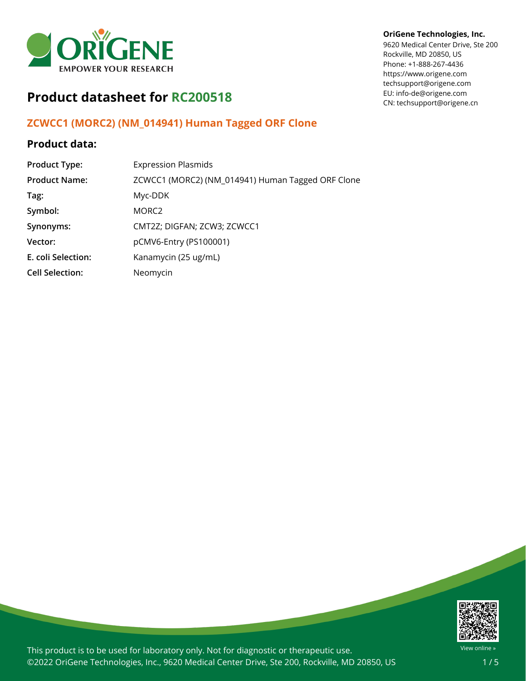

# **Product datasheet for RC200518**

## **ZCWCC1 (MORC2) (NM\_014941) Human Tagged ORF Clone**

### **Product data:**

| <b>Product Type:</b>   | <b>Expression Plasmids</b>                        |
|------------------------|---------------------------------------------------|
| <b>Product Name:</b>   | ZCWCC1 (MORC2) (NM_014941) Human Tagged ORF Clone |
| Tag:                   | Myc-DDK                                           |
| Symbol:                | MORC <sub>2</sub>                                 |
| Synonyms:              | CMT2Z; DIGFAN; ZCW3; ZCWCC1                       |
| Vector:                | pCMV6-Entry (PS100001)                            |
| E. coli Selection:     | Kanamycin (25 ug/mL)                              |
| <b>Cell Selection:</b> | Neomycin                                          |

### **OriGene Technologies, Inc.**

9620 Medical Center Drive, Ste 200 Rockville, MD 20850, US Phone: +1-888-267-4436 https://www.origene.com techsupport@origene.com EU: info-de@origene.com CN: techsupport@origene.cn



This product is to be used for laboratory only. Not for diagnostic or therapeutic use. ©2022 OriGene Technologies, Inc., 9620 Medical Center Drive, Ste 200, Rockville, MD 20850, US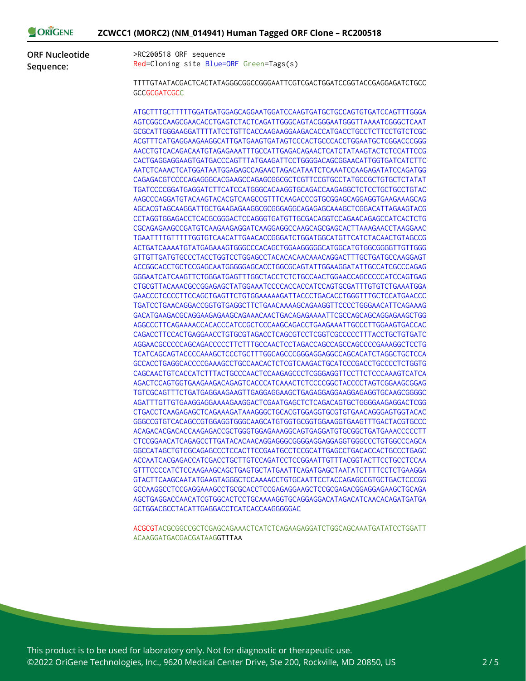| DRIGENE | ZCWCC1 (MORC2) (NM_014941) Human Tagged ORF Clone - RC200518 |  |
|---------|--------------------------------------------------------------|--|
|---------|--------------------------------------------------------------|--|

**ORF Nucleotide Sequence:**

>RC200518 ORF sequence Red=Cloning site Blue=ORF Green=Tags(s)

TTTTGTAATACGACTCACTATAGGGCGGCCGGGAATTCGTCGACTGGATCCGGTACCGAGGAGATCTGCC **GCCGCGATCGCC** 

ATGCTTTGCTTTTTGGATGATGGAGCAGGAATGGATCCAAGTGATGCTGCCAGTGTGATCCAGTTTGGGA AGTCGGCCAAGCGAACACCTGAGTCTACTCAGATTGGGCAGTACGGGAATGGGTTAAAATCGGGCTCAAT GCGCATTGGGAAGGATTTTATCCTGTTCACCAAGAAGGAAGACACCATGACCTGCCTCTTCCTGTCTCGC ACGTTTCATGAGGAAGAAGGCATTGATGAAGTGATAGTCCCACTGCCCACCTGGAATGCTCGGACCCGGG AACCTGTCACAGACAATGTAGAGAAATTTGCCATTGAGACAGAACTCATCTATAAGTACTCTCCATTCCG CACTGAGGAGGAAGTGATGACCCAGTTTATGAAGATTCCTGGGGACAGCGGAACATTGGTGATCATCTTC AATCTCAAACTCATGGATAATGGAGAGCCAGAACTAGACATAATCTCAAATCCAAGAGATATCCAGATGG CAGAGACGTCCCCAGAGGGCACGAAGCCAGAGCGGCGCTCGTTCCGTGCCTATGCCGCTGTGCTCTATAT TGATCCCCGGATGAGGATCTTCATCCATGGGCACAAGGTGCAGACCAAGAGGCTCTCCTGCTGCCTGTAC AAGCCCAGGATGTACAAGTACACGTCAAGCCGTTTCAAGACCCGTGCGGAGCAGGAGGTGAAGAAAGCAG AGCACGTAGCAAGGATTGCTGAAGAGAAGGCGCGGGAGGCAGAGAGCAAAGCTCGGACATTAGAAGTACG CCTAGGTGGAGACCTCACGCGGGACTCCAGGGTGATGTTGCGACAGGTCCAGAACAGAGCCATCACTCTG CGCAGAGAAGCCGATGTCAAGAAGAGGATCAAGGAGGCCAAGCAGCGAGCACTTAAAGAACCTAAGGAAC TGAATTTTGTTTTTGGTGTCAACATTGAACACCGGGATCTGGATGGCATGTTCATCTACAACTGTAGCCG ACTGATCAAAATGTATGAGAAAGTGGGCCCACAGCTGGAAGGGGGCATGGCATGTGGCGGGGTTGTTGGG GTTGTTGATGTGCCCTACCTGGTCCTGGAGCCTACACACAACAAACAGGACTTTGCTGATGCCAAGGAGT ACCGGCACCTGCTCCGAGCAATGGGGGAGCACCTGGCGCAGTATTGGAAGGATATTGCCATCGCCCAGAG GGGAATCATCAAGTTCTGGGATGAGTTTGGCTACCTCTCTGCCAACTGGAACCAGCCCCCATCCAGTGAG CTGCGTTACAAACGCCGGAGAGCTATGGAAATCCCCACCACCATCCAGTGCGATTTGTGTCTGAAATGGA GAACCCTCCCCTTCCAGCTGAGTTCTGTGGAAAAAGATTACCCTGACACCTGGGTTTGCTCCATGAACCC TGATCCTGAACAGGACCGGTGTGAGGCTTCTGAACAAAAGCAGAAGGTTCCCCTGGGAACATTCAGAAAG GACATGAAGACGCAGGAAGAGAAGCAGAAACAACTGACAGAGAAAATTCGCCAGCAGCAGGAGAAGCTGG AGGCCCTTCAGAAAACCACACCCATCCGCTCCCAAGCAGACCTGAAGAAATTGCCCTTGGAAGTGACCAC CAGACCTTCCACTGAGGAACCTGTGCGTAGACCTCAGCGTCCTCGGTCGCCCCCTTTACCTGCTGTGATC AGGAACGCCCCCAGCAGACCCCCTTCTTTGCCAACTCCTAGACCAGCCAGCCAGCCCCGAAAGGCTCCTG TCATCAGCAGTACCCCAAAGCTCCCTGCTTTGGCAGCCCGGGAGGAGGCCAGCACATCTAGGCTGCTCCA GCCACCTGAGGCACCCCGAAAGCCTGCCAACACTCTCGTCAAGACTGCATCCCGACCTGCCCCTCTGGTG CAGCAACTGTCACCATCTTTACTGCCCAACTCCAAGAGCCCTCGGGAGGTTCCTTCTCCCAAAGTCATCA AGACTCCAGTGGTGAAGAAGACAGAGTCACCCATCAAACTCTCCCCGGCTACCCCTAGTCGGAAGCGGAG TGTCGCAGTTTCTGATGAGGAAGAAGTTGAGGAGGAAGCTGAGAGGAGGAAGGAGAGGTGCAAGCGGGGC AGATTTGTTGTGAAGGAGGAAAAGAAGGACTCGAATGAGCTCTCAGACAGTGCTGGGGAAGAGGACTCGG CTGACCTCAAGAGAGCTCAGAAAGATAAAGGGCTGCACGTGGAGGTGCGTGTGAACAGGGAGTGGTACAC GGGCCGTGTCACAGCCGTGGAGGTGGGCAAGCATGTGGTGCGGTGGAAGGTGAAGTTTGACTACGTGCCC ACAGACACGACACCAAGAGACCGCTGGGTGGAGAAAGGCAGTGAGGATGTGCGGCTGATGAAACCCCCTT CTCCGGAACATCAGAGCCTTGATACACAACAGGAGGGCGGGGAGGAGGAGGTGGGCCCTGTGGCCCAGCA GGCCATAGCTGTCGCAGAGCCCTCCACTTCCGAATGCCTCCGCATTGAGCCTGACACCACTGCCCTGAGC ACCAATCACGAGACCATCGACCTGCTTGTCCAGATCCTCCGGAATTGTTTACGGTACTTCCTGCCTCCAA GTTTCCCCATCTCCAAGAAGCAGCTGAGTGCTATGAATTCAGATGAGCTAATATCTTTTCCTCTGAAGGA GTACTTCAAGCAATATGAAGTAGGGCTCCAAAACCTGTGCAATTCCTACCAGAGCCGTGCTGACTCCCGG GCCAAGGCCTCCGAGGAAAGCCTGCGCACCTCCGAGAGGAAGCTCCGCGAGACGGAGGAGAAGCTGCAGA AGCTGAGGACCAACATCGTGGCACTCCTGCAAAAGGTGCAGGAGGACATAGACATCAACACAGATGATGA GCTGGACGCCTACATTGAGGACCTCATCACCAAGGGGGAC

ACGCGTACGCGGCCGCTCGAGCAGAAACTCATCTCAGAAGAGGATCTGGCAGCAAATGATATCCTGGATT ACAAGGATGACGACGATAAGGTTTAA

This product is to be used for laboratory only. Not for diagnostic or therapeutic use. ©2022 OriGene Technologies, Inc., 9620 Medical Center Drive, Ste 200, Rockville, MD 20850, US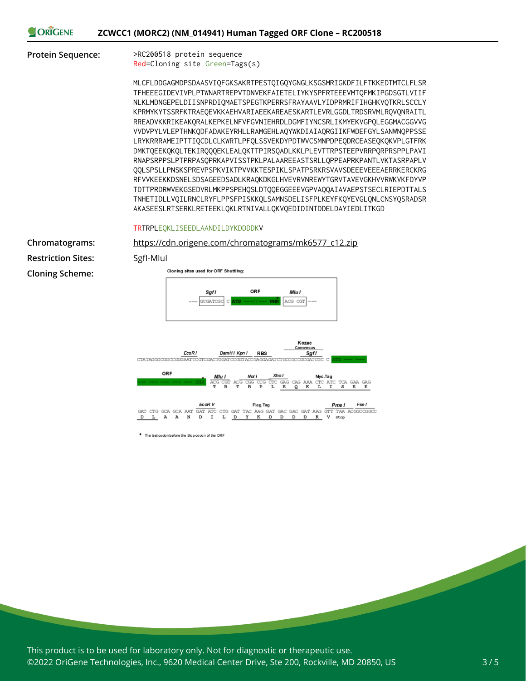#### ORIGENE **ZCWCC1 (MORC2) (NM\_014941) Human Tagged ORF Clone – RC200518**

**Protein Sequence:** >RC200518 protein sequence Red=Cloning site Green=Tags(s)

> MLCFLDDGAGMDPSDAASVIQFGKSAKRTPESTQIGQYGNGLKSGSMRIGKDFILFTKKEDTMTCLFLSR TFHEEEGIDEVIVPLPTWNARTREPVTDNVEKFAIETELIYKYSPFRTEEEVMTQFMKIPGDSGTLVIIF NLKLMDNGEPELDIISNPRDIQMAETSPEGTKPERRSFRAYAAVLYIDPRMRIFIHGHKVQTKRLSCCLY KPRMYKYTSSRFKTRAEQEVKKAEHVARIAEEKAREAESKARTLEVRLGGDLTRDSRVMLRQVQNRAITL RREADVKKRIKEAKQRALKEPKELNFVFGVNIEHRDLDGMFIYNCSRLIKMYEKVGPQLEGGMACGGVVG VVDVPYLVLEPTHNKQDFADAKEYRHLLRAMGEHLAQYWKDIAIAQRGIIKFWDEFGYLSANWNQPPSSE LRYKRRRAMEIPTTIQCDLCLKWRTLPFQLSSVEKDYPDTWVCSMNPDPEQDRCEASEQKQKVPLGTFRK DMKTQEEKQKQLTEKIRQQQEKLEALQKTTPIRSQADLKKLPLEVTTRPSTEEPVRRPQRPRSPPLPAVI RNAPSRPPSLPTPRPASQPRKAPVISSTPKLPALAAREEASTSRLLQPPEAPRKPANTLVKTASRPAPLV QQLSPSLLPNSKSPREVPSPKVIKTPVVKKTESPIKLSPATPSRKRSVAVSDEEEVEEEAERRKERCKRG RFVVKEEKKDSNELSDSAGEEDSADLKRAQKDKGLHVEVRVNREWYTGRVTAVEVGKHVVRWKVKFDYVP TDTTPRDRWVEKGSEDVRLMKPPSPEHQSLDTQQEGGEEEVGPVAQQAIAVAEPSTSECLRIEPDTTALS TNHETIDLLVQILRNCLRYFLPPSFPISKKQLSAMNSDELISFPLKEYFKQYEVGLQNLCNSYQSRADSR AKASEESLRTSERKLRETEEKLQKLRTNIVALLQKVQEDIDINTDDELDAYIEDLITKGD

### TRTRPLEQKLISEEDLAANDILDYKDDDDKV

**Chromatograms:** 

**Restriction Sites:** SgfI-MluI

**Cloning Scheme:**

| https://cdn.origene.com/chromatograms/mk6577 c12.zip |  |  |
|------------------------------------------------------|--|--|
|                                                      |  |  |





\* The last codon before the Stop codon of the ORF

This product is to be used for laboratory only. Not for diagnostic or therapeutic use. ©2022 OriGene Technologies, Inc., 9620 Medical Center Drive, Ste 200, Rockville, MD 20850, US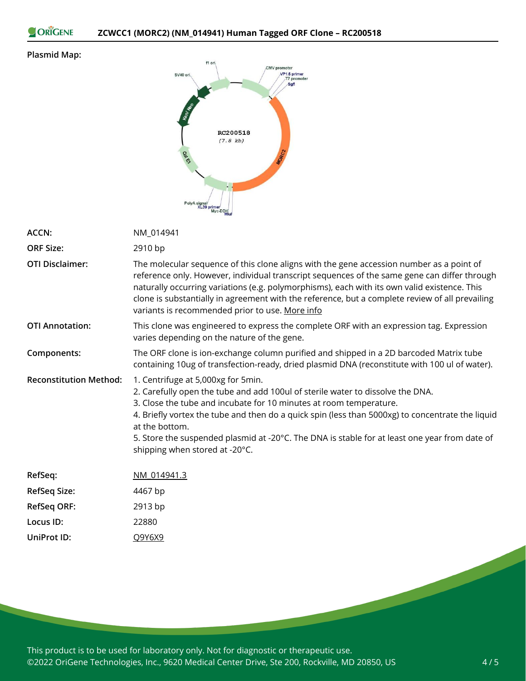ORIGENE

### **Plasmid Map:**



| <b>ACCN:</b>                  | NM 014941                                                                                                                                                                                                                                                                                                                                                                                                                                           |  |
|-------------------------------|-----------------------------------------------------------------------------------------------------------------------------------------------------------------------------------------------------------------------------------------------------------------------------------------------------------------------------------------------------------------------------------------------------------------------------------------------------|--|
| <b>ORF Size:</b>              | 2910 bp                                                                                                                                                                                                                                                                                                                                                                                                                                             |  |
| <b>OTI Disclaimer:</b>        | The molecular sequence of this clone aligns with the gene accession number as a point of<br>reference only. However, individual transcript sequences of the same gene can differ through<br>naturally occurring variations (e.g. polymorphisms), each with its own valid existence. This<br>clone is substantially in agreement with the reference, but a complete review of all prevailing<br>variants is recommended prior to use. More info      |  |
| <b>OTI Annotation:</b>        | This clone was engineered to express the complete ORF with an expression tag. Expression<br>varies depending on the nature of the gene.                                                                                                                                                                                                                                                                                                             |  |
| Components:                   | The ORF clone is ion-exchange column purified and shipped in a 2D barcoded Matrix tube<br>containing 10ug of transfection-ready, dried plasmid DNA (reconstitute with 100 ul of water).                                                                                                                                                                                                                                                             |  |
| <b>Reconstitution Method:</b> | 1. Centrifuge at 5,000xg for 5min.<br>2. Carefully open the tube and add 100ul of sterile water to dissolve the DNA.<br>3. Close the tube and incubate for 10 minutes at room temperature.<br>4. Briefly vortex the tube and then do a quick spin (less than 5000xg) to concentrate the liquid<br>at the bottom.<br>5. Store the suspended plasmid at -20°C. The DNA is stable for at least one year from date of<br>shipping when stored at -20°C. |  |
| RefSeq:                       | NM 014941.3                                                                                                                                                                                                                                                                                                                                                                                                                                         |  |
| <b>RefSeq Size:</b>           | 4467 bp                                                                                                                                                                                                                                                                                                                                                                                                                                             |  |
| RefSeq ORF:                   | 2913 bp                                                                                                                                                                                                                                                                                                                                                                                                                                             |  |
| Locus ID:                     | 22880                                                                                                                                                                                                                                                                                                                                                                                                                                               |  |
| UniProt ID:                   | Q9Y6X9                                                                                                                                                                                                                                                                                                                                                                                                                                              |  |

This product is to be used for laboratory only. Not for diagnostic or therapeutic use. ©2022 OriGene Technologies, Inc., 9620 Medical Center Drive, Ste 200, Rockville, MD 20850, US